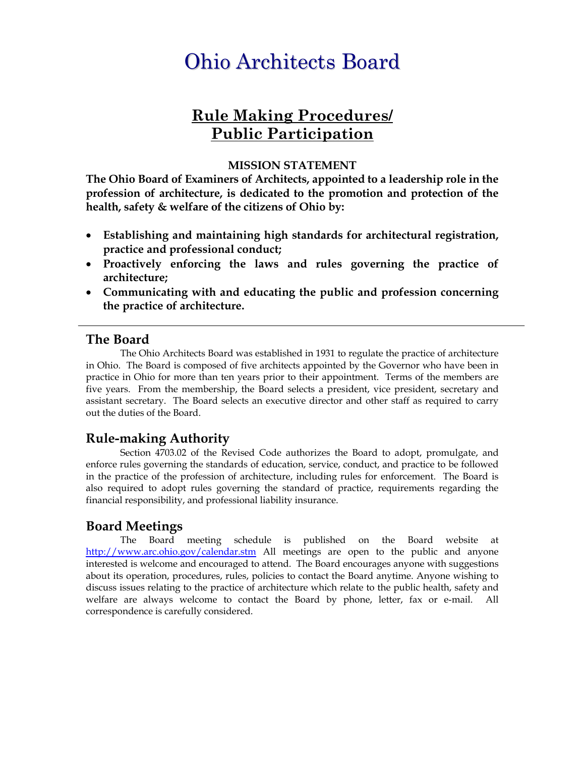# Ohio Architects Board

# **Rule Making Procedures/ Public Participation**

#### **MISSION STATEMENT**

**The Ohio Board of Examiners of Architects, appointed to a leadership role in the profession of architecture, is dedicated to the promotion and protection of the health, safety & welfare of the citizens of Ohio by:** 

- **Establishing and maintaining high standards for architectural registration, practice and professional conduct;**
- **Proactively enforcing the laws and rules governing the practice of architecture;**
- **Communicating with and educating the public and profession concerning the practice of architecture.**

#### **The Board**

 The Ohio Architects Board was established in 1931 to regulate the practice of architecture in Ohio. The Board is composed of five architects appointed by the Governor who have been in practice in Ohio for more than ten years prior to their appointment. Terms of the members are five years. From the membership, the Board selects a president, vice president, secretary and assistant secretary. The Board selects an executive director and other staff as required to carry out the duties of the Board.

#### **Rule-making Authority**

Section 4703.02 of the Revised Code authorizes the Board to adopt, promulgate, and enforce rules governing the standards of education, service, conduct, and practice to be followed in the practice of the profession of architecture, including rules for enforcement. The Board is also required to adopt rules governing the standard of practice, requirements regarding the financial responsibility, and professional liability insurance.

#### **Board Meetings**

The Board meeting schedule is published on the Board website at http://www.arc.ohio.gov/calendar.stm All meetings are open to the public and anyone interested is welcome and encouraged to attend. The Board encourages anyone with suggestions about its operation, procedures, rules, policies to contact the Board anytime. Anyone wishing to discuss issues relating to the practice of architecture which relate to the public health, safety and welfare are always welcome to contact the Board by phone, letter, fax or e-mail. All correspondence is carefully considered.